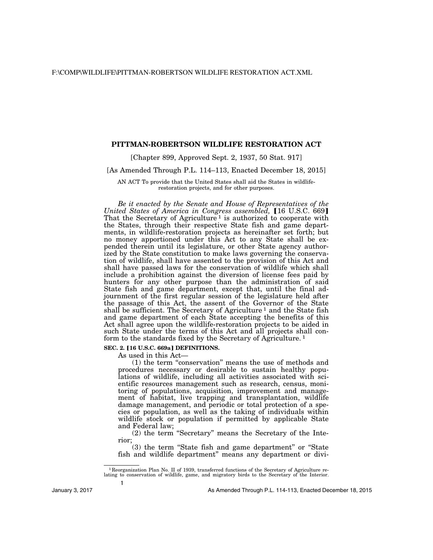## **PITTMAN-ROBERTSON WILDLIFE RESTORATION ACT**

[Chapter 899, Approved Sept. 2, 1937, 50 Stat. 917]

# [As Amended Through P.L. 114–113, Enacted December 18, 2015]

AN ACT To provide that the United States shall aid the States in wildliferestoration projects, and for other purposes.

*Be it enacted by the Senate and House of Representatives of the United States of America in Congress assembled,* [16 U.S.C. 669] That the Secretary of Agriculture<sup>1</sup> is authorized to cooperate with the States, through their respective State fish and game departments, in wildlife-restoration projects as hereinafter set forth; but no money apportioned under this Act to any State shall be expended therein until its legislature, or other State agency authorized by the State constitution to make laws governing the conservation of wildlife, shall have assented to the provision of this Act and shall have passed laws for the conservation of wildlife which shall include a prohibition against the diversion of license fees paid by hunters for any other purpose than the administration of said State fish and game department, except that, until the final adjournment of the first regular session of the legislature held after the passage of this Act, the assent of the Governor of the State shall be sufficient. The Secretary of Agriculture<sup>1</sup> and the State fish and game department of each State accepting the benefits of this Act shall agree upon the wildlife-restoration projects to be aided in such State under the terms of this Act and all projects shall conform to the standards fixed by the Secretary of Agriculture. 1

## **SEC. 2. [16 U.S.C. 669a] DEFINITIONS.**

As used in this Act—

(1) the term ''conservation'' means the use of methods and procedures necessary or desirable to sustain healthy populations of wildlife, including all activities associated with scientific resources management such as research, census, monitoring of populations, acquisition, improvement and management of habitat, live trapping and transplantation, wildlife damage management, and periodic or total protection of a species or population, as well as the taking of individuals within wildlife stock or population if permitted by applicable State and Federal law;

(2) the term ''Secretary'' means the Secretary of the Interior;

(3) the term "State fish and game department" or "State fish and wildlife department" means any department or divi-

January 3, 2017

**1** 

<sup>&</sup>lt;sup>1</sup> Reorganization Plan No. II of 1939, transferred functions of the Secretary of Agriculture relating to conservation of wildlife, game, and migratory birds to the Secretary of the Interior.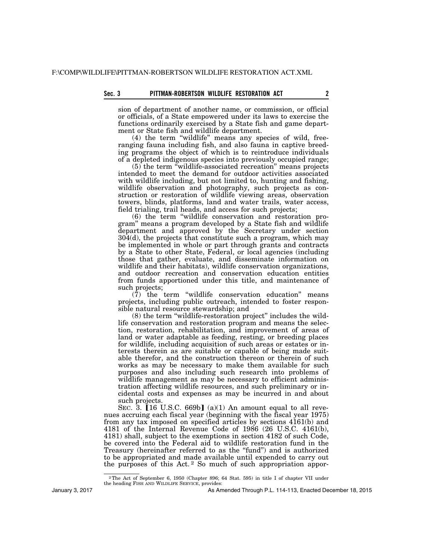#### **Sec. 3 PITTMAN-ROBERTSON WILDLIFE RESTORATION ACT 2**

sion of department of another name, or commission, or official or officials, of a State empowered under its laws to exercise the functions ordinarily exercised by a State fish and game department or State fish and wildlife department.

(4) the term ''wildlife'' means any species of wild, freeranging fauna including fish, and also fauna in captive breeding programs the object of which is to reintroduce individuals of a depleted indigenous species into previously occupied range;

 $(5)$  the term "wildlife-associated recreation" means projects intended to meet the demand for outdoor activities associated with wildlife including, but not limited to, hunting and fishing, wildlife observation and photography, such projects as construction or restoration of wildlife viewing areas, observation towers, blinds, platforms, land and water trails, water access, field trialing, trail heads, and access for such projects;

(6) the term ''wildlife conservation and restoration program'' means a program developed by a State fish and wildlife department and approved by the Secretary under section  $304(d)$ , the projects that constitute such a program, which may be implemented in whole or part through grants and contracts by a State to other State, Federal, or local agencies (including those that gather, evaluate, and disseminate information on wildlife and their habitats), wildlife conservation organizations, and outdoor recreation and conservation education entities from funds apportioned under this title, and maintenance of such projects;

(7) the term ''wildlife conservation education'' means projects, including public outreach, intended to foster responsible natural resource stewardship; and

(8) the term ''wildlife-restoration project'' includes the wildlife conservation and restoration program and means the selection, restoration, rehabilitation, and improvement of areas of land or water adaptable as feeding, resting, or breeding places for wildlife, including acquisition of such areas or estates or interests therein as are suitable or capable of being made suitable therefor, and the construction thereon or therein of such works as may be necessary to make them available for such purposes and also including such research into problems of wildlife management as may be necessary to efficient administration affecting wildlife resources, and such preliminary or incidental costs and expenses as may be incurred in and about such projects.

SEC. 3. [16 U.S.C. 669b] (a)(1) An amount equal to all revenues accruing each fiscal year (beginning with the fiscal year 1975) from any tax imposed on specified articles by sections 4161(b) and 4181 of the Internal Revenue Code of 1986 (26 U.S.C. 4161(b), 4181) shall, subject to the exemptions in section 4182 of such Code, be covered into the Federal aid to wildlife restoration fund in the Treasury (hereinafter referred to as the "fund") and is authorized to be appropriated and made available until expended to carry out the purposes of this Act. 2 So much of such appropriation appor-

January 3, 2017

<sup>2</sup>The Act of September 6, 1950 (Chapter 896; 64 Stat. 595) in title I of chapter VII under the heading FISH AND WILDLIFE SERVICE, provides: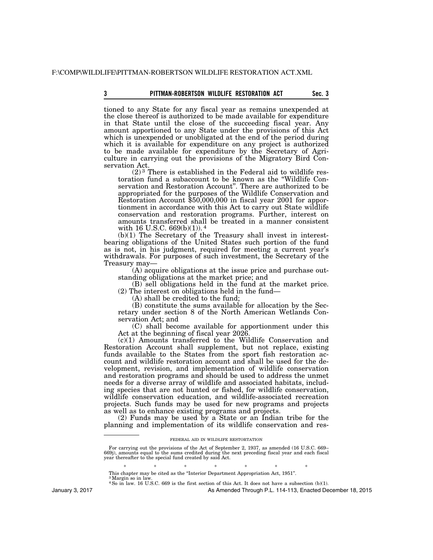tioned to any State for any fiscal year as remains unexpended at the close thereof is authorized to be made available for expenditure in that State until the close of the succeeding fiscal year. Any amount apportioned to any State under the provisions of this Act which is unexpended or unobligated at the end of the period during which it is available for expenditure on any project is authorized to be made available for expenditure by the Secretary of Agriculture in carrying out the provisions of the Migratory Bird Conservation Act.

 $(2)$ <sup>3</sup> There is established in the Federal aid to wildlife restoration fund a subaccount to be known as the ''Wildlife Conservation and Restoration Account''. There are authorized to be appropriated for the purposes of the Wildlife Conservation and Restoration Account \$50,000,000 in fiscal year 2001 for apportionment in accordance with this Act to carry out State wildlife conservation and restoration programs. Further, interest on amounts transferred shall be treated in a manner consistent with 16 U.S.C. 669(b)(1)). 4

(b)(1) The Secretary of the Treasury shall invest in interestbearing obligations of the United States such portion of the fund as is not, in his judgment, required for meeting a current year's withdrawals. For purposes of such investment, the Secretary of the Treasury may—

(A) acquire obligations at the issue price and purchase outstanding obligations at the market price; and

(B) sell obligations held in the fund at the market price. (2) The interest on obligations held in the fund—

(A) shall be credited to the fund;

(B) constitute the sums available for allocation by the Secretary under section 8 of the North American Wetlands Conservation Act; and

(C) shall become available for apportionment under this Act at the beginning of fiscal year 2026.

(c)(1) Amounts transferred to the Wildlife Conservation and Restoration Account shall supplement, but not replace, existing funds available to the States from the sport fish restoration account and wildlife restoration account and shall be used for the development, revision, and implementation of wildlife conservation and restoration programs and should be used to address the unmet needs for a diverse array of wildlife and associated habitats, including species that are not hunted or fished, for wildlife conservation, wildlife conservation education, and wildlife-associated recreation projects. Such funds may be used for new programs and projects as well as to enhance existing programs and projects.

(2) Funds may be used by a State or an Indian tribe for the planning and implementation of its wildlife conservation and res-

4So in law. 16 U.S.C. 669 is the first section of this Act. It does not have a subsection (b)(1).

As Amended Through P.L. 114-113, Enacted December 18, 2015

FEDERAL AID IN WILDLIFE RESTORTATION

For carrying out the provisions of the Act of September 2, 1937, as amended (16 U.S.C. 669– 669j), amounts equal to the sums credited during the next preceding fiscal year and each fiscal year thereafter to the special fund created by said Act.

<sup>\* \* \* \* \* \* \*</sup>  This chapter may be cited as the "Interior Department Appropriation Act, 1951".

<sup>3</sup>Margin so in law.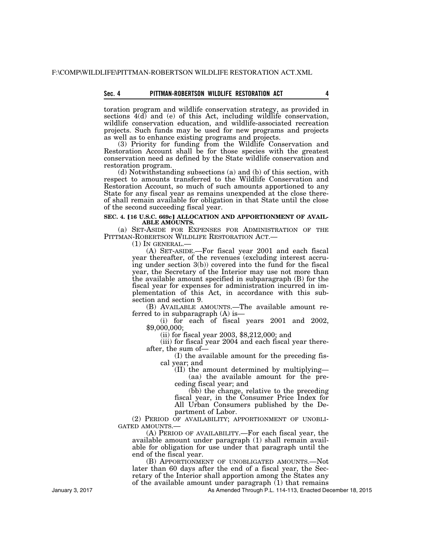## **Sec. 4 PITTMAN-ROBERTSON WILDLIFE RESTORATION ACT 4**

toration program and wildlife conservation strategy, as provided in sections  $4(d)$  and (e) of this Act, including wildlife conservation, wildlife conservation education, and wildlife-associated recreation projects. Such funds may be used for new programs and projects as well as to enhance existing programs and projects.

(3) Priority for funding from the Wildlife Conservation and Restoration Account shall be for those species with the greatest conservation need as defined by the State wildlife conservation and restoration program.

(d) Notwithstanding subsections (a) and (b) of this section, with respect to amounts transferred to the Wildlife Conservation and Restoration Account, so much of such amounts apportioned to any State for any fiscal year as remains unexpended at the close thereof shall remain available for obligation in that State until the close of the second succeeding fiscal year.

# SEC. 4. [16 U.S.C. 669c] ALLOCATION AND APPORTIONMENT OF AVAIL-<br>ABLE AMOUNTS.

(a) SET-ASIDE FOR EXPENSES FOR ADMINISTRATION OF THE PITTMAN-ROBERTSON WILDLIFE RESTORATION ACT.—

(1) IN GENERAL.—<br>(A) SET-ASIDE.—For fiscal year 2001 and each fiscal year thereafter, of the revenues (excluding interest accruing under section 3(b)) covered into the fund for the fiscal year, the Secretary of the Interior may use not more than the available amount specified in subparagraph (B) for the fiscal year for expenses for administration incurred in implementation of this Act, in accordance with this subsection and section 9.

(B) AVAILABLE AMOUNTS.—The available amount referred to in subparagraph (A) is—

(i) for each of fiscal years 2001 and 2002, \$9,000,000; (ii) for fiscal year 2003, \$8,212,000; and

(iii) for fiscal year 2004 and each fiscal year thereafter, the sum of—

(I) the available amount for the preceding fiscal year; and

(II) the amount determined by multiplying—

(aa) the available amount for the preceding fiscal year; and

(bb) the change, relative to the preceding fiscal year, in the Consumer Price Index for All Urban Consumers published by the Department of Labor.

(2) PERIOD OF AVAILABILITY; APPORTIONMENT OF UNOBLI-GATED AMOUNTS.—

(A) PERIOD OF AVAILABILITY.—For each fiscal year, the available amount under paragraph (1) shall remain available for obligation for use under that paragraph until the end of the fiscal year.

(B) APPORTIONMENT OF UNOBLIGATED AMOUNTS.—Not later than 60 days after the end of a fiscal year, the Secretary of the Interior shall apportion among the States any of the available amount under paragraph (1) that remains

As Amended Through P.L. 114-113, Enacted December 18, 2015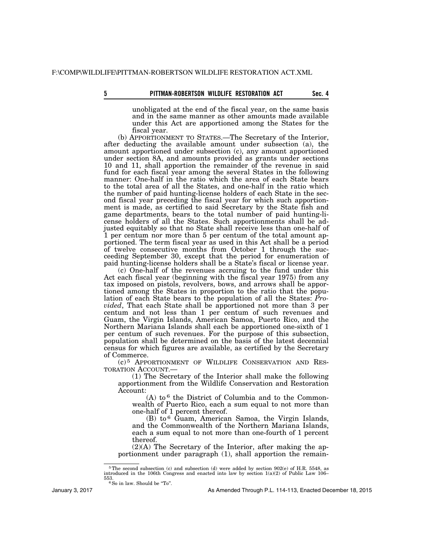#### **5 Sec. 4 PITTMAN-ROBERTSON WILDLIFE RESTORATION ACT**

unobligated at the end of the fiscal year, on the same basis and in the same manner as other amounts made available under this Act are apportioned among the States for the fiscal year.

(b) APPORTIONMENT TO STATES.—The Secretary of the Interior, after deducting the available amount under subsection (a), the amount apportioned under subsection (c), any amount apportioned under section 8A, and amounts provided as grants under sections 10 and 11, shall apportion the remainder of the revenue in said fund for each fiscal year among the several States in the following manner: One-half in the ratio which the area of each State bears to the total area of all the States, and one-half in the ratio which the number of paid hunting-license holders of each State in the second fiscal year preceding the fiscal year for which such apportionment is made, as certified to said Secretary by the State fish and game departments, bears to the total number of paid hunting-license holders of all the States. Such apportionments shall be adjusted equitably so that no State shall receive less than one-half of 1 per centum nor more than 5 per centum of the total amount apportioned. The term fiscal year as used in this Act shall be a period of twelve consecutive months from October 1 through the succeeding September 30, except that the period for enumeration of paid hunting-license holders shall be a State's fiscal or license year.

(c) One-half of the revenues accruing to the fund under this Act each fiscal year (beginning with the fiscal year 1975) from any tax imposed on pistols, revolvers, bows, and arrows shall be apportioned among the States in proportion to the ratio that the population of each State bears to the population of all the States: *Provided*, That each State shall be apportioned not more than 3 per centum and not less than 1 per centum of such revenues and Guam, the Virgin Islands, American Samoa, Puerto Rico, and the Northern Mariana Islands shall each be apportioned one-sixth of 1 per centum of such revenues. For the purpose of this subsection, population shall be determined on the basis of the latest decennial census for which figures are available, as certified by the Secretary of Commerce.

(c) 5 APPORTIONMENT OF WILDLIFE CONSERVATION AND RES-TORATION ACCOUNT.—

(1) The Secretary of the Interior shall make the following apportionment from the Wildlife Conservation and Restoration Account:

(A) to 6 the District of Columbia and to the Commonwealth of Puerto Rico, each a sum equal to not more than one-half of 1 percent thereof.

(B) to 6 Guam, American Samoa, the Virgin Islands, and the Commonwealth of the Northern Mariana Islands, each a sum equal to not more than one-fourth of 1 percent thereof.

(2)(A) The Secretary of the Interior, after making the apportionment under paragraph (1), shall apportion the remain-

<sup>5</sup>The second subsection (c) and subsection (d) were added by section 902(e) of H.R. 5548, as introduced in the 106th Congress and enacted into law by section  $1(a)(2)$  of Public Law 106–553

 $^6$  So in law. Should be "To".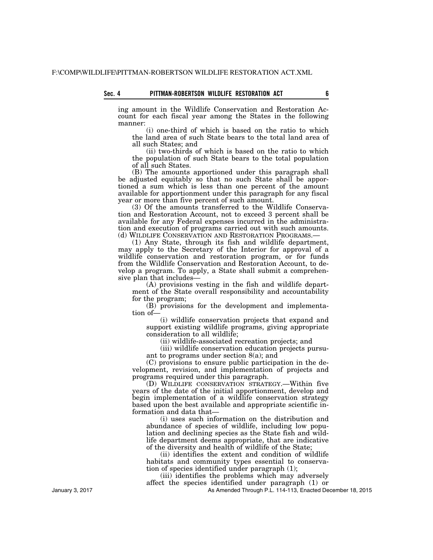ing amount in the Wildlife Conservation and Restoration Account for each fiscal year among the States in the following manner:

(i) one-third of which is based on the ratio to which the land area of such State bears to the total land area of all such States; and

(ii) two-thirds of which is based on the ratio to which the population of such State bears to the total population of all such States.

(B) The amounts apportioned under this paragraph shall be adjusted equitably so that no such State shall be apportioned a sum which is less than one percent of the amount available for apportionment under this paragraph for any fiscal year or more than five percent of such amount.

(3) Of the amounts transferred to the Wildlife Conservation and Restoration Account, not to exceed 3 percent shall be available for any Federal expenses incurred in the administration and execution of programs carried out with such amounts. (d) WILDLIFE CONSERVATION AND RESTORATION PROGRAMS.— (1) Any State, through its fish and wildlife department,

may apply to the Secretary of the Interior for approval of a wildlife conservation and restoration program, or for funds from the Wildlife Conservation and Restoration Account, to develop a program. To apply, a State shall submit a comprehensive plan that includes—

(A) provisions vesting in the fish and wildlife department of the State overall responsibility and accountability for the program;

(B) provisions for the development and implementation of—

(i) wildlife conservation projects that expand and support existing wildlife programs, giving appropriate consideration to all wildlife;

(ii) wildlife-associated recreation projects; and

(iii) wildlife conservation education projects pursuant to programs under section 8(a); and

(C) provisions to ensure public participation in the development, revision, and implementation of projects and programs required under this paragraph.

(D) WILDLIFE CONSERVATION STRATEGY.—Within five years of the date of the initial apportionment, develop and begin implementation of a wildlife conservation strategy based upon the best available and appropriate scientific information and data that—

(i) uses such information on the distribution and abundance of species of wildlife, including low population and declining species as the State fish and wildlife department deems appropriate, that are indicative of the diversity and health of wildlife of the State;

(ii) identifies the extent and condition of wildlife habitats and community types essential to conservation of species identified under paragraph (1);

(iii) identifies the problems which may adversely affect the species identified under paragraph (1) or

As Amended Through P.L. 114-113, Enacted December 18, 2015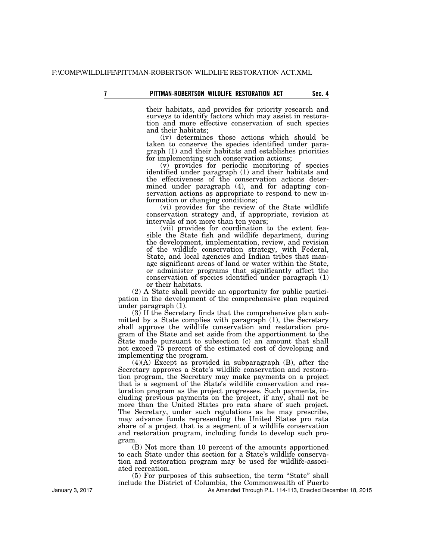their habitats, and provides for priority research and surveys to identify factors which may assist in restoration and more effective conservation of such species and their habitats;

(iv) determines those actions which should be taken to conserve the species identified under paragraph (1) and their habitats and establishes priorities for implementing such conservation actions;

(v) provides for periodic monitoring of species identified under paragraph (1) and their habitats and the effectiveness of the conservation actions determined under paragraph (4), and for adapting conservation actions as appropriate to respond to new information or changing conditions;

(vi) provides for the review of the State wildlife conservation strategy and, if appropriate, revision at intervals of not more than ten years;

(vii) provides for coordination to the extent feasible the State fish and wildlife department, during the development, implementation, review, and revision of the wildlife conservation strategy, with Federal, State, and local agencies and Indian tribes that manage significant areas of land or water within the State, or administer programs that significantly affect the conservation of species identified under paragraph (1) or their habitats.

(2) A State shall provide an opportunity for public participation in the development of the comprehensive plan required under paragraph (1).

 $(3)$  If the Secretary finds that the comprehensive plan submitted by a State complies with paragraph (1), the Secretary shall approve the wildlife conservation and restoration program of the State and set aside from the apportionment to the State made pursuant to subsection (c) an amount that shall not exceed 75 percent of the estimated cost of developing and implementing the program.

(4)(A) Except as provided in subparagraph (B), after the Secretary approves a State's wildlife conservation and restoration program, the Secretary may make payments on a project that is a segment of the State's wildlife conservation and restoration program as the project progresses. Such payments, including previous payments on the project, if any, shall not be more than the United States pro rata share of such project. The Secretary, under such regulations as he may prescribe, may advance funds representing the United States pro rata share of a project that is a segment of a wildlife conservation and restoration program, including funds to develop such program

(B) Not more than 10 percent of the amounts apportioned to each State under this section for a State's wildlife conservation and restoration program may be used for wildlife-associated recreation.

(5) For purposes of this subsection, the term ''State'' shall include the District of Columbia, the Commonwealth of Puerto

As Amended Through P.L. 114-113, Enacted December 18, 2015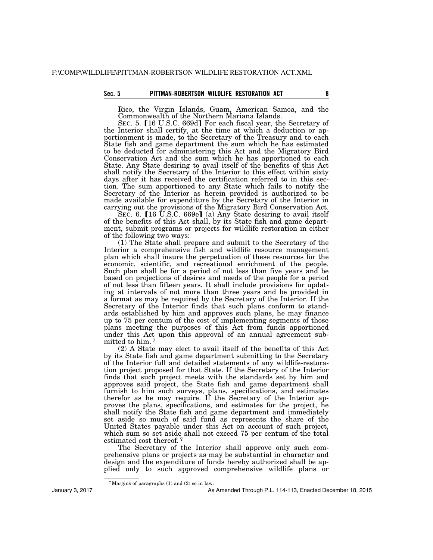### **Sec. 5 PITTMAN-ROBERTSON WILDLIFE RESTORATION ACT 8**

Rico, the Virgin Islands, Guam, American Samoa, and the Commonwealth of the Northern Mariana Islands.

SEC. 5. [16 U.S.C. 669d] For each fiscal year, the Secretary of the Interior shall certify, at the time at which a deduction or apportionment is made, to the Secretary of the Treasury and to each State fish and game department the sum which he has estimated to be deducted for administering this Act and the Migratory Bird Conservation Act and the sum which he has apportioned to each State. Any State desiring to avail itself of the benefits of this Act shall notify the Secretary of the Interior to this effect within sixty days after it has received the certification referred to in this section. The sum apportioned to any State which fails to notify the Secretary of the Interior as herein provided is authorized to be made available for expenditure by the Secretary of the Interior in carrying out the provisions of the Migratory Bird Conservation Act.

SEC. 6.  $[16 \text{ U.S.C. } 669e]$  (a) Any State desiring to avail itself of the benefits of this Act shall, by its State fish and game department, submit programs or projects for wildlife restoration in either of the following two ways:

(1) The State shall prepare and submit to the Secretary of the Interior a comprehensive fish and wildlife resource management plan which shall insure the perpetuation of these resources for the economic, scientific, and recreational enrichment of the people. Such plan shall be for a period of not less than five years and be based on projections of desires and needs of the people for a period of not less than fifteen years. It shall include provisions for updating at intervals of not more than three years and be provided in a format as may be required by the Secretary of the Interior. If the Secretary of the Interior finds that such plans conform to standards established by him and approves such plans, he may finance up to 75 per centum of the cost of implementing segments of those plans meeting the purposes of this Act from funds apportioned under this Act upon this approval of an annual agreement submitted to him. 7

(2) A State may elect to avail itself of the benefits of this Act by its State fish and game department submitting to the Secretary of the Interior full and detailed statements of any wildlife-restoration project proposed for that State. If the Secretary of the Interior finds that such project meets with the standards set by him and approves said project, the State fish and game department shall furnish to him such surveys, plans, specifications, and estimates therefor as he may require. If the Secretary of the Interior approves the plans, specifications, and estimates for the project, he shall notify the State fish and game department and immediately set aside so much of said fund as represents the share of the United States payable under this Act on account of such project, which sum so set aside shall not exceed 75 per centum of the total estimated cost thereof. 7

The Secretary of the Interior shall approve only such comprehensive plans or projects as may be substantial in character and design and the expenditure of funds hereby authorized shall be applied only to such approved comprehensive wildlife plans or

<sup>7</sup>Margins of paragraphs (1) and (2) so in law.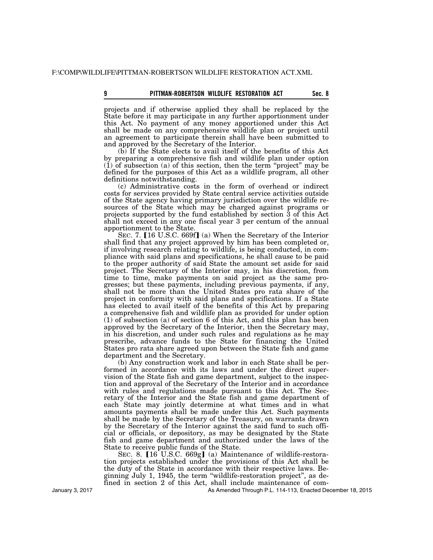projects and if otherwise applied they shall be replaced by the State before it may participate in any further apportionment under this Act. No payment of any money apportioned under this Act shall be made on any comprehensive wildlife plan or project until an agreement to participate therein shall have been submitted to and approved by the Secretary of the Interior.

(b) If the State elects to avail itself of the benefits of this Act by preparing a comprehensive fish and wildlife plan under option  $(1)$  of subsection (a) of this section, then the term "project" may be defined for the purposes of this Act as a wildlife program, all other definitions notwithstanding.

(c) Administrative costs in the form of overhead or indirect costs for services provided by State central service activities outside of the State agency having primary jurisdiction over the wildlife resources of the State which may be charged against programs or projects supported by the fund established by section 3 of this Act shall not exceed in any one fiscal year 3 per centum of the annual apportionment to the State.

SEC. 7. [16 U.S.C. 669f] (a) When the Secretary of the Interior shall find that any project approved by him has been completed or, if involving research relating to wildlife, is being conducted, in compliance with said plans and specifications, he shall cause to be paid to the proper authority of said State the amount set aside for said project. The Secretary of the Interior may, in his discretion, from time to time, make payments on said project as the same progresses; but these payments, including previous payments, if any, shall not be more than the United States pro rata share of the project in conformity with said plans and specifications. If a State has elected to avail itself of the benefits of this Act by preparing a comprehensive fish and wildlife plan as provided for under option (1) of subsection (a) of section 6 of this Act, and this plan has been approved by the Secretary of the Interior, then the Secretary may, in his discretion, and under such rules and regulations as he may prescribe, advance funds to the State for financing the United States pro rata share agreed upon between the State fish and game department and the Secretary.

(b) Any construction work and labor in each State shall be performed in accordance with its laws and under the direct supervision of the State fish and game department, subject to the inspection and approval of the Secretary of the Interior and in accordance with rules and regulations made pursuant to this Act. The Secretary of the Interior and the State fish and game department of each State may jointly determine at what times and in what amounts payments shall be made under this Act. Such payments shall be made by the Secretary of the Treasury, on warrants drawn by the Secretary of the Interior against the said fund to such official or officials, or depository, as may be designated by the State fish and game department and authorized under the laws of the State to receive public funds of the State.

SEC. 8.  $[16$  U.S.C. 669g] (a) Maintenance of wildlife-restoration projects established under the provisions of this Act shall be the duty of the State in accordance with their respective laws. Beginning July 1, 1945, the term ''wildlife-restoration project'', as defined in section 2 of this Act, shall include maintenance of com-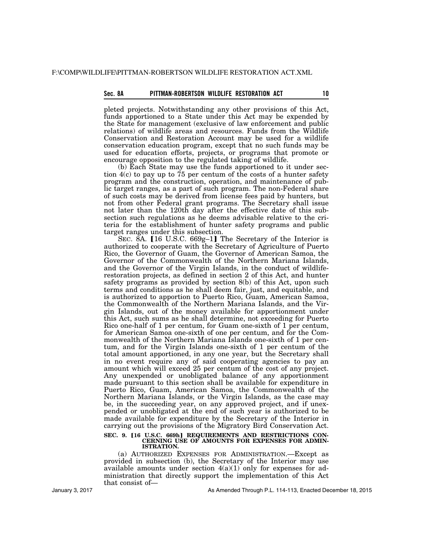## Sec. 8A **PITTMAN-ROBERTSON WILDLIFE RESTORATION ACT**

pleted projects. Notwithstanding any other provisions of this Act, funds apportioned to a State under this Act may be expended by the State for management (exclusive of law enforcement and public relations) of wildlife areas and resources. Funds from the Wildlife Conservation and Restoration Account may be used for a wildlife conservation education program, except that no such funds may be used for education efforts, projects, or programs that promote or encourage opposition to the regulated taking of wildlife.

(b) Each State may use the funds apportioned to it under section  $4(c)$  to pay up to 75 per centum of the costs of a hunter safety program and the construction, operation, and maintenance of public target ranges, as a part of such program. The non-Federal share of such costs may be derived from license fees paid by hunters, but not from other Federal grant programs. The Secretary shall issue not later than the 120th day after the effective date of this subsection such regulations as he deems advisable relative to the criteria for the establishment of hunter safety programs and public target ranges under this subsection.

SEC. 8A.  $[16 \text{ U.S.C. } 669g-1]$  The Secretary of the Interior is authorized to cooperate with the Secretary of Agriculture of Puerto Rico, the Governor of Guam, the Governor of American Samoa, the Governor of the Commonwealth of the Northern Mariana Islands, and the Governor of the Virgin Islands, in the conduct of wildliferestoration projects, as defined in section 2 of this Act, and hunter safety programs as provided by section 8(b) of this Act, upon such terms and conditions as he shall deem fair, just, and equitable, and is authorized to apportion to Puerto Rico, Guam, American Samoa, the Commonwealth of the Northern Mariana Islands, and the Virgin Islands, out of the money available for apportionment under this Act, such sums as he shall determine, not exceeding for Puerto Rico one-half of 1 per centum, for Guam one-sixth of 1 per centum, for American Samoa one-sixth of one per centum, and for the Commonwealth of the Northern Mariana Islands one-sixth of 1 per centum, and for the Virgin Islands one-sixth of 1 per centum of the total amount apportioned, in any one year, but the Secretary shall in no event require any of said cooperating agencies to pay an amount which will exceed 25 per centum of the cost of any project. Any unexpended or unobligated balance of any apportionment made pursuant to this section shall be available for expenditure in Puerto Rico, Guam, American Samoa, the Commonwealth of the Northern Mariana Islands, or the Virgin Islands, as the case may be, in the succeeding year, on any approved project, and if unexpended or unobligated at the end of such year is authorized to be made available for expenditure by the Secretary of the Interior in carrying out the provisions of the Migratory Bird Conservation Act.

#### SEC. 9. [16 U.S.C. 669h] REQUIREMENTS AND RESTRICTIONS CON-**CERNING USE OF AMOUNTS FOR EXPENSES FOR ADMIN-ISTRATION.**

(a) AUTHORIZED EXPENSES FOR ADMINISTRATION.—Except as provided in subsection (b), the Secretary of the Interior may use available amounts under section  $4(a)(1)$  only for expenses for administration that directly support the implementation of this Act that consist of—

January 3, 2017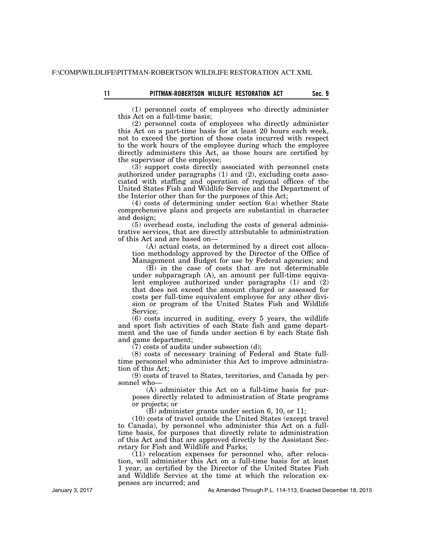(1) personnel costs of employees who directly administer this Act on a full-time basis;

(2) personnel costs of employees who directly administer this Act on a part-time basis for at least 20 hours each week, not to exceed the portion of those costs incurred with respect to the work hours of the employee during which the employee directly administers this Act, as those hours are certified by the supervisor of the employee;

(3) support costs directly associated with personnel costs authorized under paragraphs (1) and (2), excluding costs associated with staffing and operation of regional offices of the United States Fish and Wildlife Service and the Department of the Interior other than for the purposes of this Act;

(4) costs of determining under section 6(a) whether State comprehensive plans and projects are substantial in character and design;

(5) overhead costs, including the costs of general administrative services, that are directly attributable to administration of this Act and are based on—

(A) actual costs, as determined by a direct cost allocation methodology approved by the Director of the Office of Management and Budget for use by Federal agencies; and

(B) in the case of costs that are not determinable under subparagraph (A), an amount per full-time equivalent employee authorized under paragraphs (1) and (2) that does not exceed the amount charged or assessed for costs per full-time equivalent employee for any other division or program of the United States Fish and Wildlife Service;

(6) costs incurred in auditing, every 5 years, the wildlife and sport fish activities of each State fish and game department and the use of funds under section 6 by each State fish and game department;

 $(7)$  costs of audits under subsection  $(d)$ ;

(8) costs of necessary training of Federal and State fulltime personnel who administer this Act to improve administration of this Act;

(9) costs of travel to States, territories, and Canada by personnel who—

(A) administer this Act on a full-time basis for purposes directly related to administration of State programs or projects; or

(B) administer grants under section 6, 10, or 11;

(10) costs of travel outside the United States (except travel to Canada), by personnel who administer this Act on a fulltime basis, for purposes that directly relate to administration of this Act and that are approved directly by the Assistant Secretary for Fish and Wildlife and Parks;

(11) relocation expenses for personnel who, after relocation, will administer this Act on a full-time basis for at least 1 year, as certified by the Director of the United States Fish and Wildlife Service at the time at which the relocation expenses are incurred; and

As Amended Through P.L. 114-113, Enacted December 18, 2015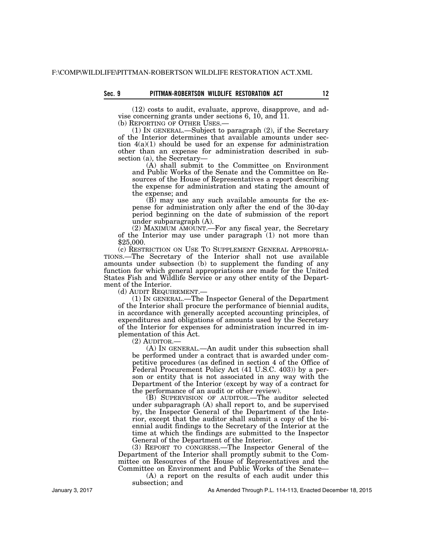(12) costs to audit, evaluate, approve, disapprove, and advise concerning grants under sections 6, 10, and 11.<br>(b) REPORTING OF OTHER USES.—

(1) In GENERAL.—Subject to paragraph (2), if the Secretary

of the Interior determines that available amounts under section  $4(a)(1)$  should be used for an expense for administration other than an expense for administration described in subsection (a), the Secretary—

(A) shall submit to the Committee on Environment and Public Works of the Senate and the Committee on Resources of the House of Representatives a report describing the expense for administration and stating the amount of the expense; and

(B) may use any such available amounts for the expense for administration only after the end of the 30-day period beginning on the date of submission of the report under subparagraph (A).

(2) MAXIMUM AMOUNT.—For any fiscal year, the Secretary of the Interior may use under paragraph (1) not more than \$25,000.<br>(c) Restriction on Use To Supplement General Appropria-

TIONS.—The Secretary of the Interior shall not use available amounts under subsection (b) to supplement the funding of any function for which general appropriations are made for the United States Fish and Wildlife Service or any other entity of the Department of the Interior.

(d) AUDIT REQUIREMENT.—

(1) IN GENERAL.—The Inspector General of the Department of the Interior shall procure the performance of biennial audits, in accordance with generally accepted accounting principles, of expenditures and obligations of amounts used by the Secretary of the Interior for expenses for administration incurred in implementation of this Act.

(2) AUDITOR.—

(A) IN GENERAL.—An audit under this subsection shall be performed under a contract that is awarded under competitive procedures (as defined in section 4 of the Office of Federal Procurement Policy Act (41 U.S.C. 403)) by a person or entity that is not associated in any way with the Department of the Interior (except by way of a contract for the performance of an audit or other review).

(B) SUPERVISION OF AUDITOR.—The auditor selected under subparagraph (A) shall report to, and be supervised by, the Inspector General of the Department of the Interior, except that the auditor shall submit a copy of the biennial audit findings to the Secretary of the Interior at the time at which the findings are submitted to the Inspector General of the Department of the Interior.

(3) REPORT TO CONGRESS.—The Inspector General of the Department of the Interior shall promptly submit to the Committee on Resources of the House of Representatives and the Committee on Environment and Public Works of the Senate—

(A) a report on the results of each audit under this subsection; and

As Amended Through P.L. 114-113, Enacted December 18, 2015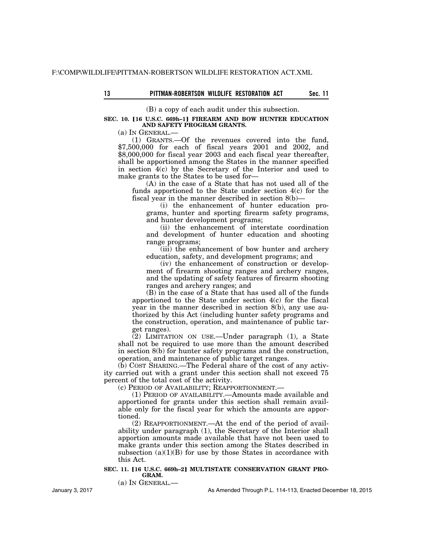(B) a copy of each audit under this subsection.

## **SEC. 10. [16 U.S.C. 669h-1] FIREARM AND BOW HUNTER EDUCATION AND SAFETY PROGRAM GRANTS.**

(a) IN GENERAL.—

(1) GRANTS.—Of the revenues covered into the fund, \$7,500,000 for each of fiscal years 2001 and 2002, and \$8,000,000 for fiscal year 2003 and each fiscal year thereafter, shall be apportioned among the States in the manner specified in section 4(c) by the Secretary of the Interior and used to make grants to the States to be used for—

(A) in the case of a State that has not used all of the funds apportioned to the State under section 4(c) for the fiscal year in the manner described in section 8(b)—

(i) the enhancement of hunter education programs, hunter and sporting firearm safety programs, and hunter development programs;

(ii) the enhancement of interstate coordination and development of hunter education and shooting range programs;

(iii) the enhancement of bow hunter and archery education, safety, and development programs; and

(iv) the enhancement of construction or development of firearm shooting ranges and archery ranges, and the updating of safety features of firearm shooting ranges and archery ranges; and

(B) in the case of a State that has used all of the funds apportioned to the State under section 4(c) for the fiscal year in the manner described in section 8(b), any use authorized by this Act (including hunter safety programs and the construction, operation, and maintenance of public target ranges).

(2) LIMITATION ON USE.—Under paragraph (1), a State shall not be required to use more than the amount described in section 8(b) for hunter safety programs and the construction, operation, and maintenance of public target ranges.

(b) COST SHARING.—The Federal share of the cost of any activity carried out with a grant under this section shall not exceed 75 percent of the total cost of the activity.

(c) PERIOD OF AVAILABILITY; REAPPORTIONMENT.—

(1) PERIOD OF AVAILABILITY.—Amounts made available and apportioned for grants under this section shall remain available only for the fiscal year for which the amounts are apportioned.

(2) REAPPORTIONMENT.—At the end of the period of availability under paragraph (1), the Secretary of the Interior shall apportion amounts made available that have not been used to make grants under this section among the States described in subsection  $(a)(1)(B)$  for use by those States in accordance with this Act.

#### SEC. 11. [16 U.S.C. 669h-2] MULTISTATE CONSERVATION GRANT PRO-**GRAM.**

(a) IN GENERAL.—

January 3, 2017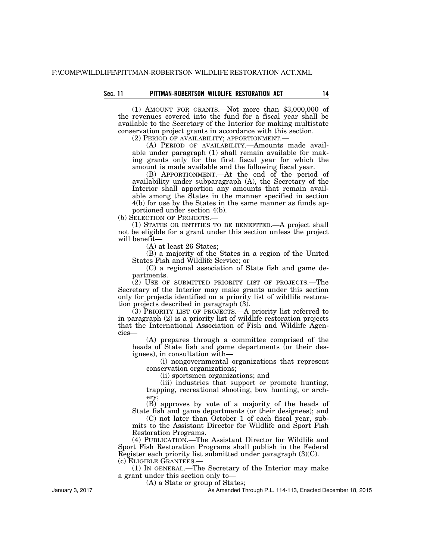#### Sec. 11 **PITTMAN-ROBERTSON WILDLIFE RESTORATION ACT** 14

(1) AMOUNT FOR GRANTS.—Not more than \$3,000,000 of the revenues covered into the fund for a fiscal year shall be available to the Secretary of the Interior for making multistate conservation project grants in accordance with this section.

(2) PERIOD OF AVAILABILITY; APPORTIONMENT.—

(A) PERIOD OF AVAILABILITY.—Amounts made available under paragraph (1) shall remain available for making grants only for the first fiscal year for which the amount is made available and the following fiscal year.

(B) APPORTIONMENT.—At the end of the period of availability under subparagraph (A), the Secretary of the Interior shall apportion any amounts that remain available among the States in the manner specified in section 4(b) for use by the States in the same manner as funds apportioned under section 4(b).

(b) SELECTION OF PROJECTS.—

(1) STATES OR ENTITIES TO BE BENEFITED.—A project shall not be eligible for a grant under this section unless the project will benefit—

(A) at least 26 States;

(B) a majority of the States in a region of the United States Fish and Wildlife Service; or

(C) a regional association of State fish and game departments.

(2) USE OF SUBMITTED PRIORITY LIST OF PROJECTS.—The Secretary of the Interior may make grants under this section only for projects identified on a priority list of wildlife restoration projects described in paragraph (3).

(3) PRIORITY LIST OF PROJECTS.—A priority list referred to in paragraph (2) is a priority list of wildlife restoration projects that the International Association of Fish and Wildlife Agencies—

(A) prepares through a committee comprised of the heads of State fish and game departments (or their designees), in consultation with—

(i) nongovernmental organizations that represent conservation organizations;

(ii) sportsmen organizations; and

(iii) industries that support or promote hunting, trapping, recreational shooting, bow hunting, or archery;

(B) approves by vote of a majority of the heads of State fish and game departments (or their designees); and

(C) not later than October 1 of each fiscal year, submits to the Assistant Director for Wildlife and Sport Fish Restoration Programs.

(4) PUBLICATION.—The Assistant Director for Wildlife and Sport Fish Restoration Programs shall publish in the Federal Register each priority list submitted under paragraph (3)(C). (c) ELIGIBLE GRANTEES.—

(1) IN GENERAL.—The Secretary of the Interior may make a grant under this section only to—

(A) a State or group of States;

As Amended Through P.L. 114-113, Enacted December 18, 2015